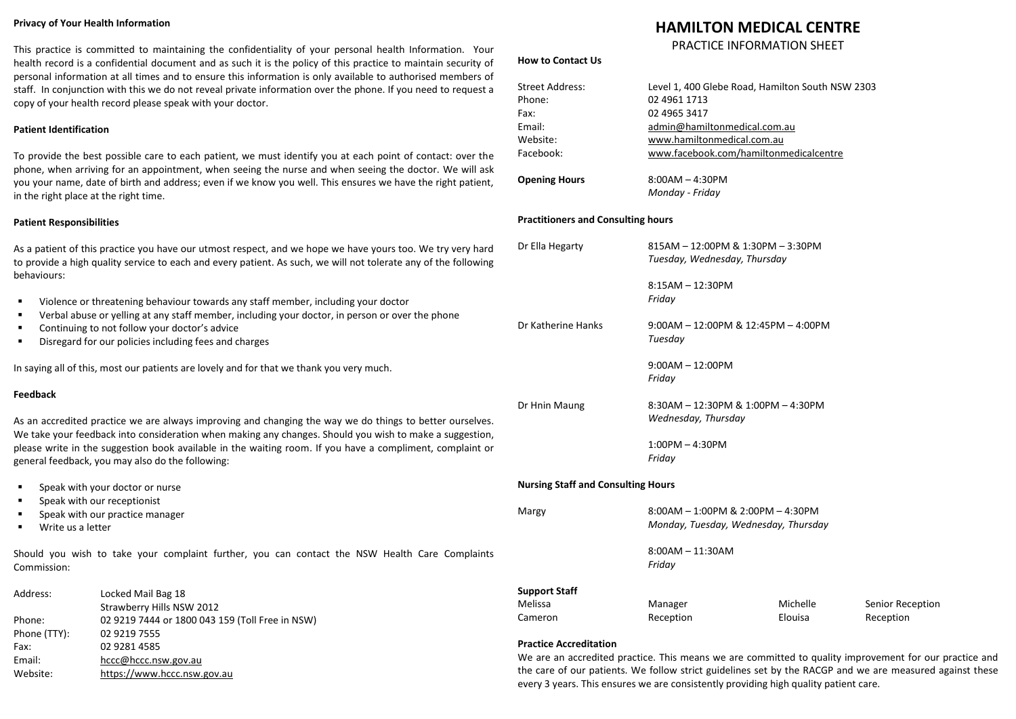#### **Privacy of Your Health Information**

This practice is committed to maintaining the confidentiality of your personal health Information. Your health record is a confidential document and as such it is the policy of this practice to maintain security of personal information at all times and to ensure this information is only available to authorised members of staff. In conjunction with this we do not reveal private information over the phone. If you need to request a copy of your health record please speak with your doctor.

# **Patient Identification**

To provide the best possible care to each patient, we must identify you at each point of contact: over the phone, when arriving for an appointment, when seeing the nurse and when seeing the doctor. We will ask you your name, date of birth and address; even if we know you well. This ensures we have the right patient, in the right place at the right time.

#### **Patient Responsibilities**

As a patient of this practice you have our utmost respect, and we hope we have yours too. We try very hard to provide a high quality service to each and every patient. As such, we will not tolerate any of the following behaviours:

- Violence or threatening behaviour towards any staff member, including your doctor
- Verbal abuse or yelling at any staff member, including your doctor, in person or over the phone
- Continuing to not follow your doctor's advice
- Disregard for our policies including fees and charges

In saying all of this, most our patients are lovely and for that we thank you very much.

# **Feedback**

As an accredited practice we are always improving and changing the way we do things to better ourselves. We take your feedback into consideration when making any changes. Should you wish to make a suggestion, please write in the suggestion book available in the waiting room. If you have a compliment, complaint or general feedback, you may also do the following:

- Speak with your doctor or nurse
- Speak with our receptionist
- Speak with our practice manager

Website: [https://www.hccc.nsw.gov.au](https://www.hccc.nsw.gov.au/)

■ Write us a letter

Should you wish to take your complaint further, you can contact the NSW Health Care Complaints Commission:

| Address:     | Locked Mail Bag 18                              | <b>Support Staff</b> |                                                                                                        |          |                  |  |  |
|--------------|-------------------------------------------------|----------------------|--------------------------------------------------------------------------------------------------------|----------|------------------|--|--|
|              | Strawberry Hills NSW 2012                       | Melissa              | Manager                                                                                                | Michelle | Senior Reception |  |  |
| Phone:       | 02 9219 7444 or 1800 043 159 (Toll Free in NSW) | Cameron              | Reception                                                                                              | Elouisa  | Reception        |  |  |
| Phone (TTY): | 02 9219 7555                                    |                      |                                                                                                        |          |                  |  |  |
| Fax:         | 02 9281 4585                                    |                      | <b>Practice Accreditation</b>                                                                          |          |                  |  |  |
| Email:       | hccc@hccc.nsw.gov.au                            |                      | We are an accredited practice. This means we are committed to quality improvement for our practice and |          |                  |  |  |

**How to Contact Us**

# **HAMILTON MEDICAL CENTRE**

# PRACTICE INFORMATION SHEET

the care of our patients. We follow strict guidelines set by the RACGP and we are measured against these

every 3 years. This ensures we are consistently providing high quality patient care.

|                                           | <b>Street Address:</b><br>Phone:<br>Fax:<br>Email:<br>Website:<br>Facebook: | Level 1, 400 Glebe Road, Hamilton South NSW 2303<br>02 4961 1713<br>02 4965 3417<br>admin@hamiltonmedical.com.au<br>www.hamiltonmedical.com.au<br>www.facebook.com/hamiltonmedicalcentre |          |      |  |  |  |
|-------------------------------------------|-----------------------------------------------------------------------------|------------------------------------------------------------------------------------------------------------------------------------------------------------------------------------------|----------|------|--|--|--|
|                                           | <b>Opening Hours</b>                                                        | $8:00AM - 4:30PM$<br>Monday - Friday                                                                                                                                                     |          |      |  |  |  |
|                                           | <b>Practitioners and Consulting hours</b>                                   |                                                                                                                                                                                          |          |      |  |  |  |
|                                           | Dr Ella Hegarty                                                             | 815AM - 12:00PM & 1:30PM - 3:30PM<br>Tuesday, Wednesday, Thursday                                                                                                                        |          |      |  |  |  |
|                                           |                                                                             | $8:15AM - 12:30PM$<br>Friday                                                                                                                                                             |          |      |  |  |  |
|                                           | Dr Katherine Hanks                                                          | $9:00AM - 12:00PM & 12:45PM - 4:00PM$<br>Tuesday                                                                                                                                         |          |      |  |  |  |
|                                           |                                                                             | $9:00AM - 12:00PM$<br>Friday                                                                                                                                                             |          |      |  |  |  |
|                                           | Dr Hnin Maung                                                               | 8:30AM - 12:30PM & 1:00PM - 4:30PM<br>Wednesday, Thursday                                                                                                                                |          |      |  |  |  |
|                                           |                                                                             | $1:00PM - 4:30PM$<br>Friday                                                                                                                                                              |          |      |  |  |  |
| <b>Nursing Staff and Consulting Hours</b> |                                                                             |                                                                                                                                                                                          |          |      |  |  |  |
|                                           | Margy                                                                       | $8:00AM - 1:00PM$ & $2:00PM - 4:30PM$<br>Monday, Tuesday, Wednesday, Thursday                                                                                                            |          |      |  |  |  |
|                                           |                                                                             | $8:00AM - 11:30AM$<br>Friday                                                                                                                                                             |          |      |  |  |  |
|                                           | <b>Support Staff</b>                                                        |                                                                                                                                                                                          |          |      |  |  |  |
|                                           | Melissa                                                                     | Manager                                                                                                                                                                                  | Michelle | Seni |  |  |  |
|                                           | Cameron                                                                     | Reception                                                                                                                                                                                | Elouisa  | Rec  |  |  |  |